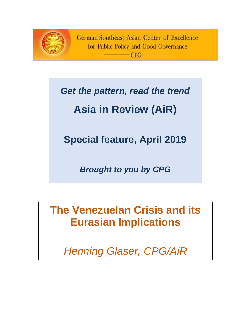

German-Southeast Asian Center of Excellence for Public Policy and Good Governance  $CPC$ 

# *Get the pattern, read the trend*

# **Asia in Review (AiR)**

**Special feature, April 2019**

*Brought to you by CPG*

**The Venezuelan Crisis and its Eurasian Implications**

*Henning Glaser, CPG/AiR*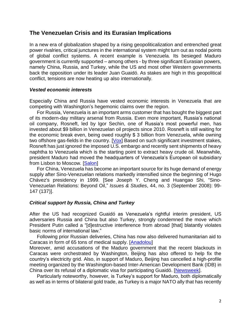## **The Venezuelan Crisis and its Eurasian Implications**

In a new era of globalization shaped by a rising geopoliticalization and entrenched great power rivalries, critical junctures in the international system might turn out as nodal points of global conflict systems. A recent example is Venezuela. Its besieged Maduro government is currently supported – among others - by three significant Eurasian powers, namely China, Russia, and Turkey, while the US and most other Western governments back the opposition under its leader Juan Guaidó. As stakes are high in this geopolitical conflict, tensions are now heating up also internationally.

#### *Vested economic interests*

Especially China and Russia have vested economic interests in Venezuela that are competing with Washington's hegemonic claims over the region.

For Russia, Venezuela is an important arms customer that has bought the biggest part of its modern-day military arsenal from Russia. Even more important, Russia's national oil company, Rosneft, led by Igor Sechin, one of Russia's most powerful men, has invested about \$9 billion in Venezuelan oil projects since 2010. Rosneft is still waiting for the economic break even, being owed roughly \$ [3 billion](https://www.ft.com/content/0e9618e4-23c8-11e9-b20d-5376ca5216eb) from Venezuela, while owning two offshore gas-fields in the country.  $[Vox]$  Based on such significant investment stakes, Rosneft has just ignored the imposed U.S. embargo and recently sent shipments of heavy naphtha to Venezuela which is the starting point to extract heavy crude oil. Meanwhile, president Maduro had moved the headquarters of Venezuela's European oil subsidiary from Lisbon to Moscow. [\[Salon\]](https://www.salon.com/2019/03/21/venezuelas-future-depends-on-china-and-russia_partner/)

For China, Venezuela has become an important source for its huge demand of energy supply after Sino-Venezuelan relations markedly intensified since the beginning of Hugo Chávez's presidency in 1999. [See Joseph Y. Cheng and Huangao Shi, "Sino-Venezuelan Relations: Beyond Oil," *Issues & Studies*, 44, no. 3 (September 2008): 99- 147 (137)].

#### *Critical support by Russia, China and Turkey*

After the US had recognized Guaidó as Venezuela's rightful interim president, US adversaries Russia and China but also Turkey, strongly condemned the move which President Putin called a "[d]estructive interference from abroad [that] blatantly violates basic norms of international law."

Following prior Russian deliveries, China has now also delivered humanitarian aid to Caracas in form of 65 tons of medical supply. [\[Anadolou\]](https://www.aa.com.tr/en/americas/venezuela-welcomes-arrival-of-chinese-medical-aid/1435166)

Moreover, amid accusations of the Maduro government that the recent blackouts in Caracas were orchestrated by Washington, Beijing has also offered to help fix the country's electricity grid. Also, in support of Maduro, Beijing has cancelled a high-profile meeting organized by the Washington-based Inter-American Development Bank (IDB) in China over its refusal of a diplomatic visa for participating Guaidó. [\[Newsweek\]](https://www.newsweek.com/china-us-venezuela-russia-troops-backyard-1375871).

Particularly noteworthy, however, is Turkey's support for Maduro, both diplomatically as well as in terms of bilateral gold trade, as Turkey is a major NATO ally that has recently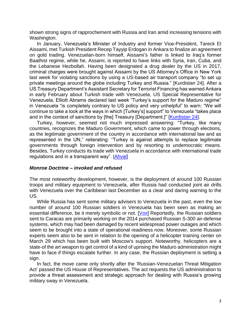shown strong signs of rapprochement with Russia and Iran amid increasing tensions with Washington.

In January, Venezuela's Minister of Industry and former Vice-President, Tareck El Aissami, met Turkish President Recep Tayyip Erdogan in Ankara to finalize an agreement on gold trading. Venezuelan-born himself, Aissami's father is linked to Iraq's former Baathist regime, while he, Assami, is reported to have links with Syria, Iran, Cuba, and the Lebanese Hezbollah. Having been designated a drug dealer by the US in 2017, criminal charges were brought against Aissami by the US Attorney's Office in New York last week for violating sanctions by using a US-based air transport company "to set up private meetings around the globe including Turkey and Russia." [Kurdistan 24]. After a US Treasury Department's Assistant Secretary for Terrorist Financing has warned Ankara in early February about Turkish trade with Venezuela, US Special Representative for Venezuela, Elliott Abrams declared last week "Turkey's support for the Maduro regime" in Venezuela "is completely contrary to US policy and very unhelpful" to warn: "We will continue to take a look at the ways in which [Turkey's] support" to Venezuela "takes place and in the context of sanctions by [the] Treasury [Department.]" [\[Kurdistan 24\]](http://www.kurdistan24.net/en/news/048d3da2-5d94-40f6-9b44-18f3693121ee).

Turkey, however, seemed not much impressed answering: "Turkey, like many countries, recognizes the Maduro Government, which came to power through elections, as the legitimate government of the country in accordance with international law and as represented in the UN," reiterating: "Turkey is against attempts to replace legitimate governments through foreign intervention and by resorting to undemocratic means. Besides, Turkey conducts its trade with Venezuela in accordance with international trade regulations and in a transparent way". [[Ahval\]](https://ahvalnews.com/venezuela-turkey/turkey-pledges-support-venezuela-us-mulls-secondary-sanctions)

#### *Monroe Doctrine – invoked and refused*

The most noteworthy development, however, is the deployment of around 100 Russian troops and military equipment to Venezuela, after Russia had conducted joint air drills with Venezuela over the Caribbean last December as a clear and daring warning to the US.

While Russia has sent some military advisers to Venezuela in the past, even the low number of around 100 Russian soldiers in Venezuela has been seen as making an essential difference, be it merely symbolic or not. [\[Vox\]](https://www.vox.com/2019/3/27/18283807/venezuela-russia-troops-trump-maduro-guaido) Reportedly, the Russian soldiers sent to Caracas are primarily working on the 2014 purchased Russian S-300 air-defense systems, which may had been damaged by recent widespread power outages and which seem to be brought into a state of operational readiness now. Moreover, some Russian experts seem also to be sent in relation to the opening of a helicopter training center on March 29 which has been built with Moscow's support. Noteworthy, helicopters are a state-of the art weapon to get control of a kind of uprising the Maduro administration might have to face if things escalate further. In any case, the Russian deployment is setting a sign.

In fact, the move came only shortly after the 'Russian-Venezuelan Threat Mitigation Act' passed the US House of Representatives. The act requests the US administration to provide a threat assessment and strategic approach for dealing with Russia's growing military sway in Venezuela.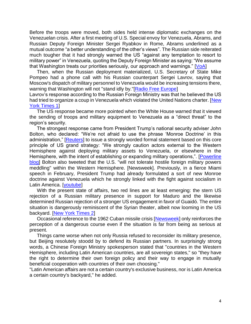Before the troops were moved, both sides held intense diplomatic exchanges on the Venezuelan crisis. After a first meeting of U.S. Special envoy for Venezuela, Abrams, and Russian Deputy Foreign Minister Sergei Ryabkov in Rome, Abrams underlined as a mutual outcome "a better understanding of the other's views". The Russian side reiterated much tougher that it had strongly warned the US "against any temptation to resort to military power" in Venezuela, quoting the Deputy Foreign Minister as saying: "We assume that Washington treats our priorities seriously, our approach and warnings." [\[VoA\]](https://www.voanews.com/a/us-russia-talks-on-venezuela-stall-over-role-of-maduro/4838480.html)

Then, when the Russian deployment materialized, U.S. Secretary of State Mike Pompeo had a phone call with his Russian counterpart Sergei Lavrov, saying that Moscow's dispatch of military personnel to Venezuela would be increasing tensions there, warning that Washington will not "stand idly by."[\[Radio Free Europe\]](https://www.rferl.org/a/pompeo-cautions-russia-over-reports-of-military-mission-in-venezuela/29841369.html)

Lavrov's response according to the Russian Foreign Ministry was that he believed the US had tried to organize a coup in Venezuela which violated the United Nations charter. [New [York Times](https://www.nytimes.com/reuters/2019/03/25/world/middleeast/25reuters-venezuela-politics-russia-usa.html) 1]

The US response became more pointed when the White House warned that it viewed the sending of troops and military equipment to Venezuela as a "direct threat" to the region's security.

The strongest response came from President Trump's national security adviser John Bolton, who declared: "We're not afraid to use the phrase 'Monroe Doctrine' in this administration," [\[Reuters\]](https://www.reuters.com/article/us-venezuela-politics-bolton-exclusive/exclusive-trump-eyeing-stepped-up-venezuela-sanctions-for-foreign-companies-bolton-idUSKCN1RA2F0) to issue a strongly worded formal statement based on this core principle of US grand strategy: "We strongly caution actors external to the Western Hemisphere against deploying military assets to Venezuela, or elsewhere in the Hemisphere, with the intent of establishing or expanding military operations,". [Powerline] [blog\]](https://www.powerlineblog.com/archives/2019/03/reviving-the-monroe-doctrine.php) Bolton also tweeted that the U.S. "will not tolerate hostile foreign military powers meddling" within the Western Hemisphere. [Newsweek]. Previously, in a fierce Miami speech in February, President Trump had already formulated a sort of new Monroe doctrine against Venezuela which he strongly linked with the fight against socialism in Latin America. [\[youtube\]](https://www.youtube.com/watch?v=mMnBk1mDYjc)

With the present state of affairs, two red lines are at least emerging: the stern US rejection of a Russian military presence in support for Maduro and the likewise determined Russian rejection of a stronger US engagement in favor of Guaidó. The entire situation is dangerously reminiscent of the Syrian theater, albeit now looming in the US backyard. [\[New York Times 2\]](https://www.nytimes.com/2019/04/01/us/politics/trump-putin-venezuela-red-line.html)

Occasional reference to the 1962 Cuban missile crisis [\[Newsweek\]](https://www.newsweek.com/china-us-venezuela-russia-troops-backyard-1375871) only reinforces the perception of a dangerous course even if the situation is far from being as serious at present.

Things came worse when not only Russia refused to reconsider its military presence, but Beijing resolutely stoodd by to defend its Russian partners. In surprisingly strong words, a Chinese Foreign Ministry spokesperson stated that "countries in the Western Hemisphere, including Latin American countries, are all sovereign states," so "they have the right to determine their own foreign policy and their way to engage in mutually beneficial cooperation with countries of their own choosing."

"Latin American affairs are not a certain country's exclusive business, nor is Latin America a certain country's backyard," he added.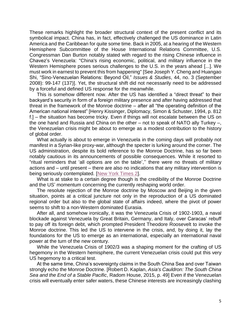These remarks highlight the broader structural context of the present conflict and its symbolical impact. China has, in fact, effectively challenged the US dominance in Latin America and the Caribbean for quite some time. Back in 2005, at a hearing of the Western Hemisphere Subcommittee of the House International Relations Committee, U.S. Congressman Dan Burton notably stated with regard to the rising Chinese influence in Chavez's Venezuela: "China's rising economic, political, and military influence in the Western Hemisphere poses serious challenges to the U.S. in the years ahead [...]. We must work in earnest to prevent this from happening" [See Joseph Y. Cheng and Huangao Shi, "Sino-Venezuelan Relations: Beyond Oil," *Issues & Studies*, 44, no. 3 (September 2008): 99-147 (137)]. Yet, the structural shift did not necessarily need to be addressed by a forceful and defined US response for the meanwhile.

This is somehow different now. After the US has identified a "direct threat" to their backyard's security in form of a foreign military presence and after having addressed that threat in the framework of the Monroe doctrine – after all "the operating definition of the American national interest" [Henry Kissinger, Diplomacy, Simon & Schuster, 1994, p. 812 f.] – the situation has become tricky. Even if things will not escalate between the US on the one hand and Russia and China on the other – not to speak of NATO ally Turkey –, the Venezuelan crisis might be about to emerge as a modest contribution to the history of global order.

What actually is about to emerge in Venezuela in the coming days will probably not manifest in a Syrian-like proxy-war, although the specter is lurking around the corner. The US administration, despite its bold reference to the Monroe Doctrine, has so far been notably cautious in its announcements of possible consequences. While it resorted to "ritual reminders that 'all options are on the table','' there were no threats of military actions and – until present – there are also no indications that any military intervention is being seriously contemplated. [\[New York Times 2\]](https://www.nytimes.com/2019/04/01/us/politics/trump-putin-venezuela-red-line.html).

What is at stake to a certain degree though is the credibility of the Monroe Doctrine and the US' momentum concerning the currently reshaping world order.

The resolute rejection of the Monroe doctrine by Moscow and Beijing in the given situation, points at a critical juncture not only in the reproduction of a US dominated regional order but also to the global state of affairs indeed, where the pivot of power seems to shift to a non-Western dominated Eurasia.

After all, and somehow ironically, it was the Venezuela Crisis of 1902-1903, a naval blockade against Venezuela by Great Britain, Germany, and Italy, over Caracas' rebuff to pay off its foreign debt, which prompted President Theodore Roosevelt to invoke the Monroe doctrine. This led the US to intervene in the crisis, and, by doing it, lay the foundations for the US to emerge as an international, especially an international naval power at the turn of the new century.

While the Venezuela Crisis of 1902/3 was a shaping moment for the crafting of US hegemony in the Western hemisphere, the current Venezuelan crisis could put this very US hegemony to a critical test.

At the same time, China's sovereignty claims in the South China Sea and over Taiwan strongly echo the Monroe Doctrine. [Robert D. Kaplan, *Asia's Cauldron: The South China Sea and the End of a Stable Pacific*, Radom House, 2015, p. 49] Even if the Venezuelan crisis will eventually enter safer waters, these Chinese interests are increasingly clashing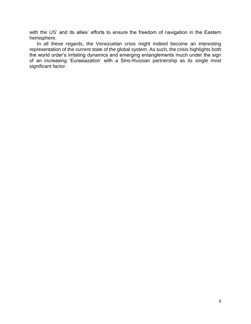with the US' and its allies' efforts to ensure the freedom of navigation in the Eastern hemisphere.

In all these regards, the Venezuelan crisis might indeed become an interesting representation of the current state of the global system. As such, the crisis highlights both the world order's irritating dynamics and emerging entanglements much under the sign of an increasing 'Eurasiazation' with a Sino-Russian partnership as its single most significant factor.